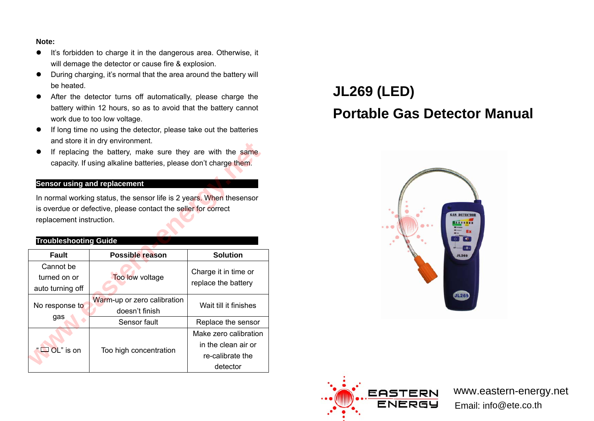#### **Note:**

- It's forbidden to charge it in the dangerous area. Otherwise, it will demage the detector or cause fire & explosion.
- During charging, it's normal that the area around the battery will be heated.
- After the detector turns off automatically, please charge the battery within 12 hours, so as to avoid that the battery cannot work due to too low voltage.
- **•** If long time no using the detector, please take out the batteries and store it in dry environment.
- **•** If replacing the battery, make sure they are with the same capacity. If using alkaline batteries, please don't charge them.

#### **Sensor using and replacement**

#### **Troubleshooting Guide**

|                                                                      | and store it in the environment.<br>If replacing the battery, make sure they are with the same<br>capacity. If using alkaline batteries, please don't charge them. |                       |  |  |  |
|----------------------------------------------------------------------|--------------------------------------------------------------------------------------------------------------------------------------------------------------------|-----------------------|--|--|--|
|                                                                      | <b>Sensor using and replacement</b>                                                                                                                                |                       |  |  |  |
| In normal working status, the sensor life is 2 years. When thesensor |                                                                                                                                                                    |                       |  |  |  |
| is overdue or defective, please contact the seller for correct       |                                                                                                                                                                    |                       |  |  |  |
| replacement instruction.                                             |                                                                                                                                                                    |                       |  |  |  |
|                                                                      |                                                                                                                                                                    |                       |  |  |  |
| <b>Troubleshooting Guide</b>                                         |                                                                                                                                                                    |                       |  |  |  |
| <b>Fault</b>                                                         | <b>Possible reason</b>                                                                                                                                             | <b>Solution</b>       |  |  |  |
| Cannot be                                                            |                                                                                                                                                                    |                       |  |  |  |
|                                                                      |                                                                                                                                                                    |                       |  |  |  |
| turned on or                                                         | Too low voltage                                                                                                                                                    | Charge it in time or  |  |  |  |
| auto turning off                                                     |                                                                                                                                                                    | replace the battery   |  |  |  |
|                                                                      | Warm-up or zero calibration                                                                                                                                        |                       |  |  |  |
| No response to                                                       | doesn't finish                                                                                                                                                     | Wait till it finishes |  |  |  |
| gas                                                                  | Sensor fault                                                                                                                                                       | Replace the sensor    |  |  |  |
|                                                                      |                                                                                                                                                                    | Make zero calibration |  |  |  |
|                                                                      |                                                                                                                                                                    | in the clean air or   |  |  |  |
| OL" is on                                                            | Too high concentration                                                                                                                                             | re-calibrate the      |  |  |  |

# **JL269 (LED) Portable Gas Detector Manual**





www.eastern-energy.netEmail: info@ete.co.th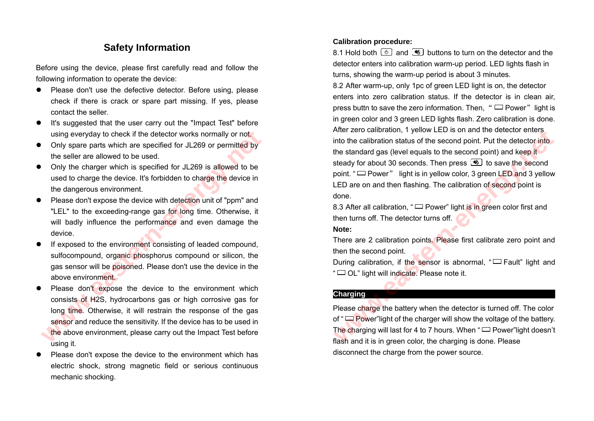# **Safety Information**

Before using the device, please first carefully read and follow the following information to operate the device:

- Please don't use the defective detector. Before using, please check if there is crack or spare part missing. If yes, please contact the seller.
- It's suggested that the user carry out the "Impact Test" before using everyday to check if the detector works normally or not.
- Only spare parts which are specified for JL269 or permitted by the seller are allowed to be used.
- Only the charger which is specified for JL269 is allowed to be used to charge the device. It's forbidden to charge the device in the dangerous environment.
- Please don't expose the device with detection unit of "ppm" and "LEL" to the exceeding-range gas for long time. Otherwise, it will badly influence the performance and even damage the device.
- If exposed to the environment consisting of leaded compound, sulfocompound, organic phosphorus compound or silicon, the gas sensor will be poisoned. Please don't use the device in the above environment.
- Please don't expose the device to the environment which consists of H2S, hydrocarbons gas or high corrosive gas for long time. Otherwise, it will restrain the response of the gas sensor and reduce the sensitivity. If the device has to be used in the above environment, please carry out the Impact Test before using it. using everyday to check if the detector works normally or not<br>Only spare parts which are specified for JL269 or permitted by<br>the seller are allowed to be used.<br>Only the charger which is specified for JL269 is allowed to be
- Please don't expose the device to the environment which has electric shock, strong magnetic field or serious continuous mechanic shocking.

#### **Calibration procedure:**

8.1 Hold both  $\cup$  and  $\circledast$  buttons to turn on the detector and the detector enters into calibration warm-up period. LED lights flash in turns, showing the warm-up period is about 3 minutes.

8.2 After warm-up, only 1pc of green LED light is on, the detector enters into zero calibration status. If the detector is in clean air, press buttn to save the zero information. Then, " $\Box$  Power" light is in green color and 3 green LED lights flash. Zero calibration is done. After zero calibration, 1 yellow LED is on and the detector enters into the calibration status of the second point. Put the detector into the standard gas (level equals to the second point) and keep it steady for about 30 seconds. Then press **to** to save the second point. " $\Box$  Power" light is in yellow color, 3 green LED and 3 yellow LED are on and then flashing. The calibration of second point is done. Anter 2ero calibration, 1 yellow LED is on and the detector enters<br>the standard gas (level equals to the second point. Put the detector into<br>the standard gas (level equals to the second point) and keep it<br>steady for about

8.3 After all calibration, " $\Box$  Power" light is in green color first and then turns off. The detector turns off.

#### **Note:**

There are 2 calibration points. Please first calibrate zero point and then the second point.

During calibration, if the sensor is abnormal, " $\Box$  Fault" light and " □ OL" light will indicate. Please note it.

#### **Charging**

Please charge the battery when the detector is turned off. The color of " Power" light of the charger will show the voltage of the battery. The charging will last for 4 to 7 hours. When " $\Box$  Power" light doesn't flash and it is in green color, the charging is done. Please disconnect the charge from the power source.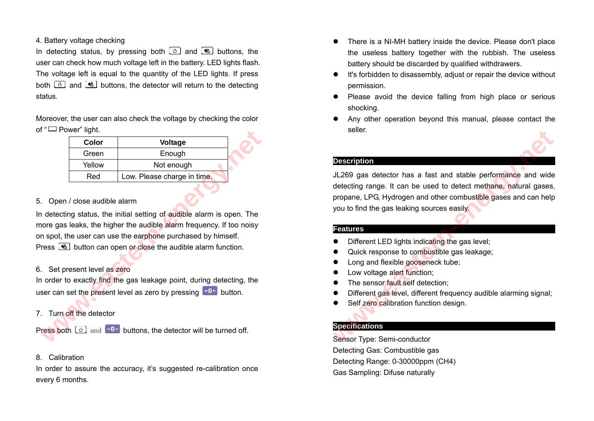#### 4. Battery voltage checking

In detecting status, by pressing both  $\circled{b}$  and  $\circled{b}$  buttons, the user can check how much voltage left in the battery. LED lights flash. The voltage left is equal to the quantity of the LED lights. If press both  $\boxed{\circ}$  and  $\clubsuit$  buttons, the detector will return to the detecting status.

Moreover, the user can also check the voltage by checking the color of " □ Power" light.

| Color                | <b>Voltage</b>              |  |
|----------------------|-----------------------------|--|
| Green                | Enough                      |  |
| Not enough<br>Yellow |                             |  |
| Red                  | Low. Please charge in time. |  |
|                      |                             |  |

#### 5. Open / close audible alarm

In detecting status, the initial setting of audible alarm is open. The more gas leaks, the higher the audible alarm frequency. If too noisy on spot, the user can use the earphone purchased by himself. Press  $\circled{1}$  button can open or close the audible alarm function. **Color** Color Color Color Color Color Color Color Color Color Color Color Color Color Color Color Color Color Color Color Color Color Color Color Color Color Color Color Color Color Color Color Color Color Color Color Colo

#### 6. Set present level as zero

In order to exactly find the gas leakage point, during detecting, the user can set the present level as zero by pressing  $\rightarrow 0+$  button.

## 7. Turn off the detector

Press both  $\boxed{\circ}$  and  $\rightarrow$ 0+ buttons, the detector will be turned off.

#### 8. Calibration

In order to assure the accuracy, it's suggested re-calibration once every 6 months.

- There is a NI-MH battery inside the device. Please don't place the useless battery together with the rubbish. The useless battery should be discarded by qualified withdrawers.
- It's forbidden to disassembly, adjust or repair the device without permission.
- Please avoid the device falling from high place or serious shocking.
- Any other operation beyond this manual, please contact the seller.

#### **Description**

JL269 gas detector has a fast and stable performance and wide detecting range. It can be used to detect methane, natural gases, propane, LPG, Hydrogen and other combustible gases and can help you to find the gas leaking sources easily. **Peseription**<br> **WEST ACTS CONTROLL 269** gas detector has a fast and stable performance and wide<br>
detecting range. It can be used to detect methane, natural gases<br>
propane, LPG, Hydrogen and other combustible gases and can

#### **Features**

- Different LED lights indicating the gas level;
- Quick response to combustible gas leakage;
- Long and flexible gooseneck tube;
- Low voltage alert function:
- The sensor fault self detection:
- Different gas level, different frequency audible alarming signal;
- Self zero calibration function design.

## **Specifications**

Sensor Type: Semi-conductor Detecting Gas: Combustible gas Detecting Range: 0-30000ppm (CH4) Gas Sampling: Difuse naturally